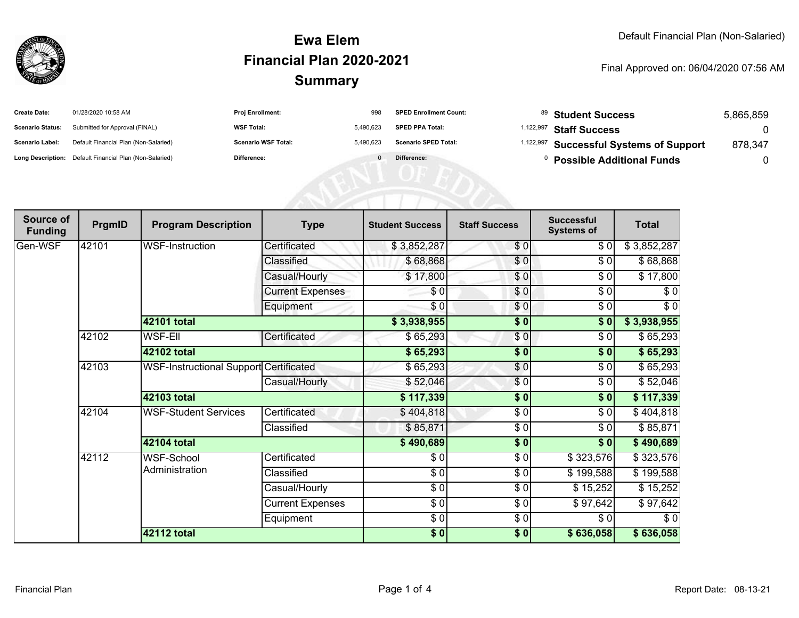

## **SummaryEwa ElemFinancial Plan 2020-2021**

#### Final Approved on: 06/04/2020 07:56 AM

| <b>Create Date:</b>     | 01/28/2020 10:58 AM                                     | <b>Proj Enrollment:</b>    | 998       | <b>SPED Enrollment Count:</b> | $^{89}$ Student Success                            | 5,865,859 |
|-------------------------|---------------------------------------------------------|----------------------------|-----------|-------------------------------|----------------------------------------------------|-----------|
| <b>Scenario Status:</b> | Submitted for Approval (FINAL)                          | <b>WSF Total:</b>          | 5.490.623 | <b>SPED PPA Total:</b>        | <sup>1,122,997</sup> Staff Success                 |           |
| <b>Scenario Label:</b>  | Default Financial Plan (Non-Salaried)                   | <b>Scenario WSF Total:</b> | 5.490.623 | <b>Scenario SPED Total:</b>   | <sup>1,122,997</sup> Successful Systems of Support | 878.347   |
|                         | Long Description: Default Financial Plan (Non-Salaried) | <b>Difference:</b>         |           | Difference:                   | <b>Possible Additional Funds</b>                   |           |

| Source of<br><b>Funding</b> | PrgmID | <b>Program Description</b>             | <b>Type</b>             | <b>Student Success</b> | <b>Staff Success</b> | <b>Successful</b><br><b>Systems of</b> | <b>Total</b> |
|-----------------------------|--------|----------------------------------------|-------------------------|------------------------|----------------------|----------------------------------------|--------------|
| Gen-WSF                     | 42101  | <b>WSF-Instruction</b>                 | Certificated            | \$3,852,287            | \$0                  | \$0                                    | \$3,852,287  |
|                             |        |                                        | Classified              | \$68,868               | \$0                  | \$0                                    | \$68,868     |
|                             |        |                                        | Casual/Hourly           | \$17,800               | \$0                  | \$0                                    | \$17,800     |
|                             |        |                                        | <b>Current Expenses</b> | \$0                    | \$0                  | \$0                                    | \$0          |
|                             |        |                                        | Equipment               | $\frac{3}{2}$          | \$0                  | $\sqrt{6}$                             | $\sqrt{6}$   |
|                             |        | 42101 total                            |                         | \$3,938,955            | $\frac{1}{2}$        | \$0                                    | \$3,938,955  |
|                             | 42102  | WSF-Ell                                | Certificated            | \$65,293               | \$0                  | \$0                                    | \$65,293     |
|                             |        | 42102 total                            |                         | \$65,293               | $\frac{1}{2}$        | \$0                                    | \$65,293     |
|                             | 42103  | WSF-Instructional Support Certificated |                         | \$65,293               | \$0                  | \$0                                    | \$65,293     |
|                             |        |                                        | Casual/Hourly           | \$52,046               | $\frac{6}{3}$        | \$0                                    | \$52,046     |
|                             |        | 42103 total                            |                         | \$117,339              | \$0                  | \$0                                    | \$117,339    |
|                             | 42104  | <b>WSF-Student Services</b>            | Certificated            | \$404,818              | \$0                  | \$0                                    | \$404,818    |
|                             |        |                                        | Classified              | \$85,871               | $\frac{3}{2}$        | \$0                                    | \$85,871     |
|                             |        | 42104 total                            |                         | \$490,689              | \$0                  | \$0                                    | \$490,689    |
|                             | 42112  | WSF-School                             | Certificated            | \$0                    | $\frac{6}{6}$        | \$323,576                              | \$323,576    |
|                             |        | Administration                         | Classified              | \$0                    | \$0                  | \$199,588                              | \$199,588    |
|                             |        |                                        | Casual/Hourly           | \$0                    | \$0                  | \$15,252                               | \$15,252     |
|                             |        |                                        | <b>Current Expenses</b> | $\sqrt{3}$             | $\frac{6}{6}$        | \$97,642                               | \$97,642     |
|                             |        |                                        | Equipment               | \$0                    | \$0                  | \$0                                    | \$0          |
|                             |        | <b>42112 total</b>                     |                         | \$0]                   | \$0                  | \$636,058                              | \$636,058    |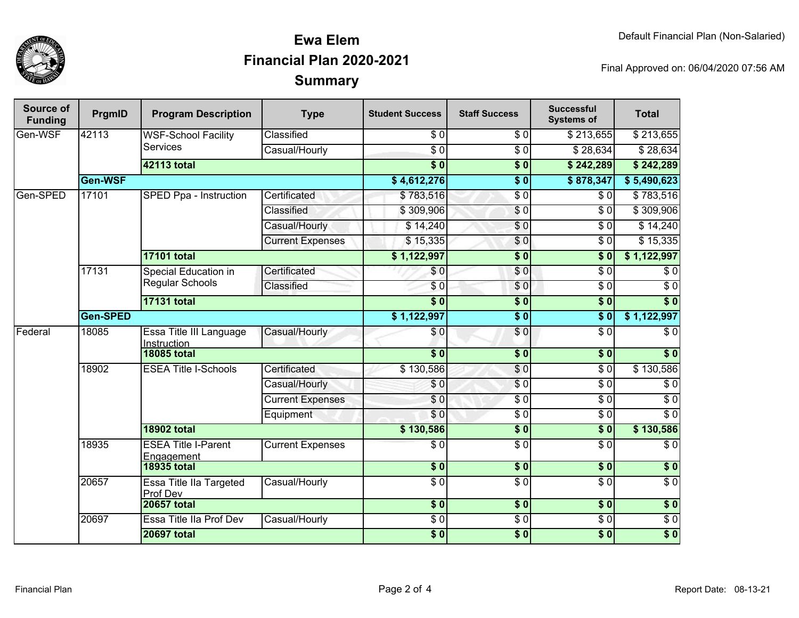

## **SummaryEwa ElemFinancial Plan 2020-2021**

Final Approved on: 06/04/2020 07:56 AM

| Source of<br><b>Funding</b> | PrgmID                                                     | <b>Program Description</b>               | <b>Type</b>             | <b>Student Success</b> | <b>Staff Success</b>     | <b>Successful</b><br><b>Systems of</b> | <b>Total</b>     |                  |
|-----------------------------|------------------------------------------------------------|------------------------------------------|-------------------------|------------------------|--------------------------|----------------------------------------|------------------|------------------|
| Gen-WSF                     | 42113                                                      | <b>WSF-School Facility</b>               | Classified              | $\sqrt{6}$             | $\sqrt{6}$               | \$213,655                              | \$213,655        |                  |
|                             |                                                            | <b>Services</b>                          | Casual/Hourly           | $\overline{60}$        | $\overline{\$0}$         | \$28,634                               | \$28,634         |                  |
|                             |                                                            | <b>42113 total</b>                       |                         | $\overline{\$0}$       | $\overline{\$0}$         | \$242,289                              | \$242,289        |                  |
|                             | Gen-WSF                                                    |                                          |                         | \$4,612,276            | $\overline{\$0}$         | \$878,347                              | \$5,490,623      |                  |
| Gen-SPED                    | 17101                                                      | <b>SPED Ppa - Instruction</b>            | Certificated            | \$783,516              | $\overline{\$0}$         | \$0                                    | \$783,516        |                  |
|                             |                                                            |                                          | Classified              | \$309,906              | $\sqrt{6}$               | $\sqrt{6}$                             | \$309,906        |                  |
|                             |                                                            |                                          | Casual/Hourly           | \$14,240               | \$0                      | $\overline{30}$                        | \$14,240         |                  |
|                             |                                                            |                                          | <b>Current Expenses</b> | \$15,335               | \$0                      | $\overline{30}$                        | \$15,335         |                  |
|                             |                                                            | <b>17101 total</b>                       |                         | \$1,122,997            | $\overline{\$0}$         | $\overline{\$}0$                       | \$1,122,997      |                  |
|                             | 17131                                                      | Special Education in<br>Regular Schools  | Certificated            | \$0                    | \$0                      | $\overline{S}0$                        | $\overline{\$0}$ |                  |
|                             |                                                            |                                          | Classified              | \$0                    | \$0                      | $\overline{30}$                        | $\sqrt{6}$       |                  |
|                             |                                                            | <b>17131 total</b>                       |                         | $\overline{\$0}$       | $\overline{\$0}$         | $\overline{\$0}$                       | $\overline{\$0}$ |                  |
|                             | Gen-SPED                                                   |                                          |                         | \$1,122,997            | $\overline{\$0}$         | $\overline{\$0}$                       | \$1,122,997      |                  |
| Federal                     | 18085                                                      | Essa Title III Language<br>Instruction   | Casual/Hourly           | \$0                    | \$0                      | $\overline{S}0$                        | $\overline{\$0}$ |                  |
|                             |                                                            | <b>18085 total</b>                       |                         | $\overline{\$0}$       | $\overline{\$0}$         | $\overline{\textbf{50}}$               | $\overline{\$0}$ |                  |
|                             | 18902<br><b>ESEA Title I-Schools</b><br><b>18902 total</b> |                                          | Certificated            | \$130,586              | $\overline{\$0}$         | $\overline{\$0}$                       | \$130,586        |                  |
|                             |                                                            |                                          | Casual/Hourly           | \$0                    | $\overline{\$0}$         | $\overline{\$0}$                       | $\overline{\$0}$ |                  |
|                             |                                                            |                                          | <b>Current Expenses</b> | $\overline{\$0}$       | $\overline{$}0$          | $\overline{\$0}$                       | $\overline{\$0}$ |                  |
|                             |                                                            |                                          |                         | Equipment              | \$0                      | $\overline{\$0}$                       | $\overline{\$0}$ | $\overline{\$0}$ |
|                             |                                                            |                                          |                         | \$130,586              | $\overline{\textbf{50}}$ | $\overline{\textbf{S}^0}$              | \$130,586        |                  |
|                             | 18935                                                      | <b>ESEA Title I-Parent</b><br>Engagement | <b>Current Expenses</b> | $\overline{\$0}$       | $\overline{\$0}$         | $\overline{\$0}$                       | $\overline{\$0}$ |                  |
|                             |                                                            | <b>18935 total</b>                       |                         | $\overline{\$0}$       | $\sqrt{6}$               | $\overline{\$0}$                       | \$0              |                  |
|                             | 20657                                                      | Essa Title IIa Targeted<br>Prof Dev      | Casual/Hourly           | $\overline{60}$        | $\overline{$}0$          | $\sqrt{6}$                             | $\overline{S}0$  |                  |
|                             |                                                            | <b>20657 total</b>                       |                         | $\overline{\$0}$       | $\overline{\$0}$         | $\overline{\$0}$                       | $\overline{\$0}$ |                  |
|                             | 20697                                                      | Essa Title IIa Prof Dev                  | Casual/Hourly           | $\sqrt{6}$             | $\overline{\$0}$         | $\overline{30}$                        | $\sqrt{6}$       |                  |
|                             |                                                            | <b>20697 total</b>                       |                         | $\overline{\$0}$       | $\overline{\$0}$         | $\overline{\$0}$                       | $\overline{\$0}$ |                  |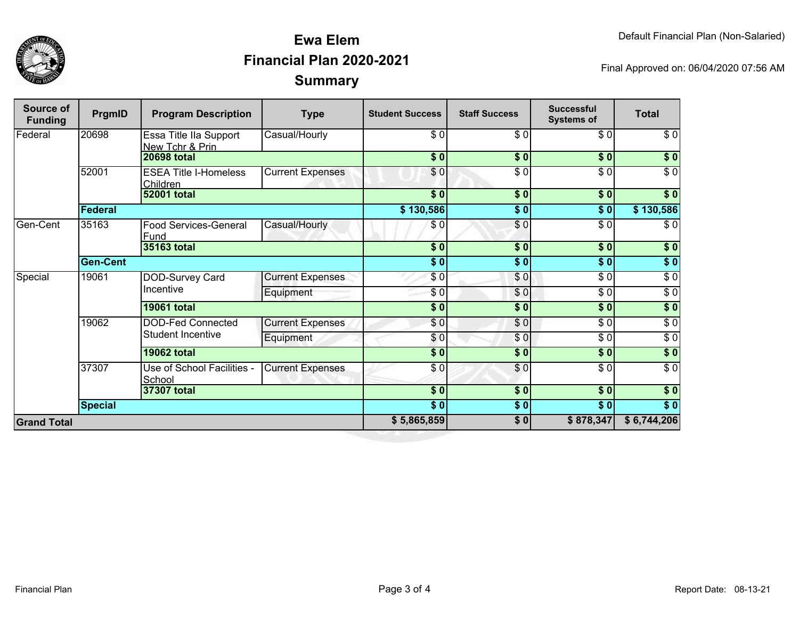



## **SummaryEwa ElemFinancial Plan 2020-2021**

Final Approved on: 06/04/2020 07:56 AM

| Source of<br><b>Funding</b> | PrgmID          | <b>Program Description</b>                           | <b>Type</b>             | <b>Student Success</b>                                      | <b>Staff Success</b> | <b>Successful</b><br><b>Systems of</b> | <b>Total</b>     |
|-----------------------------|-----------------|------------------------------------------------------|-------------------------|-------------------------------------------------------------|----------------------|----------------------------------------|------------------|
| Federal                     | 20698           | Essa Title IIa Support<br>New Tchr & Prin            | Casual/Hourly           | \$0                                                         | \$0                  | \$0                                    | \$0              |
|                             |                 | <b>20698 total</b>                                   |                         | $\overline{\bullet}$ $\overline{\bullet}$                   | \$0                  | $s$ <sub>0</sub>                       | \$0              |
|                             | 52001           | <b>ESEA Title I-Homeless</b><br>Children             | <b>Current Expenses</b> | \$0                                                         | $\overline{\$0}$     | $\overline{\$0}$                       | $\overline{\$0}$ |
|                             |                 | <b>52001 total</b>                                   |                         | $\overline{\$0}$                                            | $\frac{1}{2}$        | $\overline{\bullet}$                   | \$0              |
|                             | Federal         |                                                      |                         | \$130,586                                                   | $\frac{1}{2}$        | \$0                                    | \$130,586        |
| Gen-Cent                    | 35163           | <b>Food Services-General</b><br>Fund                 | Casual/Hourly           | \$0                                                         | $\frac{6}{3}$        | $\sqrt{6}$                             | $\sqrt{6}$       |
|                             |                 | 35163 total                                          |                         | \$0                                                         | $\overline{\$0}$     | $\overline{\$0}$                       | $\sqrt{ }$       |
|                             | <b>Gen-Cent</b> |                                                      | $\overline{\$0}$        | $\overline{\$0}$                                            | $\overline{\$0}$     | $\sqrt{ }$                             |                  |
| Special                     | 19061           | DOD-Survey Card<br>Incentive                         | <b>Current Expenses</b> | \$0                                                         | \$0                  | $\sqrt{3}$                             | $\sqrt{6}$       |
|                             |                 |                                                      | Equipment               | \$0                                                         | \$0                  | $\overline{\$0}$                       | $\sqrt{6}$       |
|                             |                 | <b>19061 total</b>                                   |                         | $\overline{\$0}$                                            | $\overline{\$0}$     | $\overline{\$0}$                       | $\sqrt{ }$       |
|                             | 19062           | <b>DOD-Fed Connected</b><br><b>Student Incentive</b> | <b>Current Expenses</b> | \$0                                                         | \$0                  | \$0                                    | $\sqrt{6}$       |
|                             |                 |                                                      | Equipment               | $\frac{6}{3}$                                               | \$0                  | $\sqrt{6}$                             | $\sqrt{6}$       |
|                             |                 | <b>19062 total</b>                                   |                         | $\overline{\$0}$                                            | $\overline{\$0}$     | $\overline{\$0}$                       | $\sqrt{ }$       |
|                             | 37307           | Use of School Facilities -<br>School                 | <b>Current Expenses</b> | \$0                                                         | \$0                  | $\sqrt{6}$                             | $\overline{\$0}$ |
|                             |                 | 37307 total                                          |                         | \$0]                                                        | \$0                  | $\overline{\bullet}$                   | \$0              |
|                             | <b>Special</b>  |                                                      |                         | $\overline{\boldsymbol{\mathsf{S}}\boldsymbol{\mathsf{O}}}$ | \$0                  | \$0                                    | $\sqrt{ }$       |
| <b>Grand Total</b>          |                 |                                                      |                         | \$5,865,859                                                 | \$0                  | \$878,347                              | \$6,744,206      |